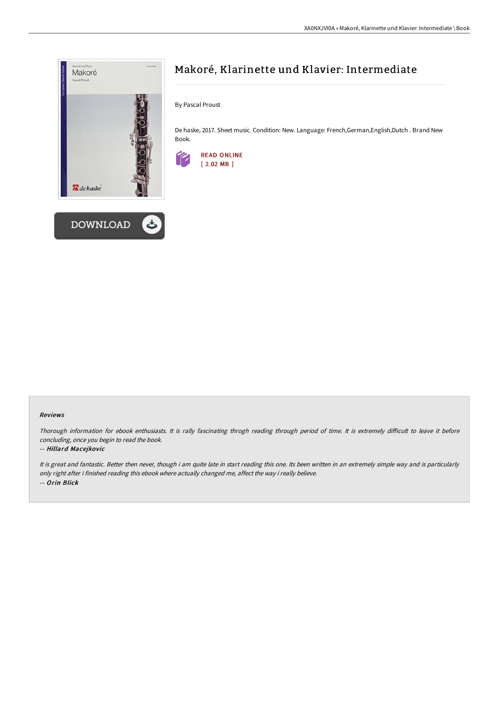



# Makoré, Klarinette und Klavier: Intermediate

By Pascal Proust

De haske, 2017. Sheet music. Condition: New. Language: French,German,English,Dutch . Brand New Book.



## Reviews

Thorough information for ebook enthusiasts. It is rally fascinating throgh reading through period of time. It is extremely difficult to leave it before concluding, once you begin to read the book.

# -- Hillard Macejkovic

It is great and fantastic. Better then never, though i am quite late in start reading this one. Its been written in an extremely simple way and is particularly only right after i finished reading this ebook where actually changed me, affect the way i really believe. -- Orin Blick